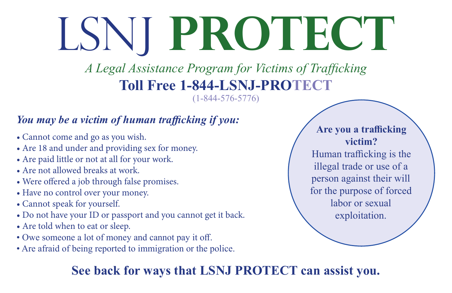# LSNJ **PROTECT**

### *A Legal Assistance Program for Victims of Trafficking* **Toll Free 1-844-LSNJ-PROTECT**

(1-844-576-5776)

#### *You may be a victim of human trafficking if you:*

- Cannot come and go as you wish.
- Are 18 and under and providing sex for money.
- Are paid little or not at all for your work.
- Are not allowed breaks at work.
- Were offered a job through false promises.
- Have no control over your money.
- Cannot speak for yourself.
- Do not have your ID or passport and you cannot get it back.
- Are told when to eat or sleep.
- Owe someone a lot of money and cannot pay it off.
- Are afraid of being reported to immigration or the police.

#### **See back for ways that LSNJ PROTECT can assist you.**

**Are you a trafficking victim?** 

Human trafficking is the illegal trade or use of a person against their will for the purpose of forced labor or sexual exploitation.